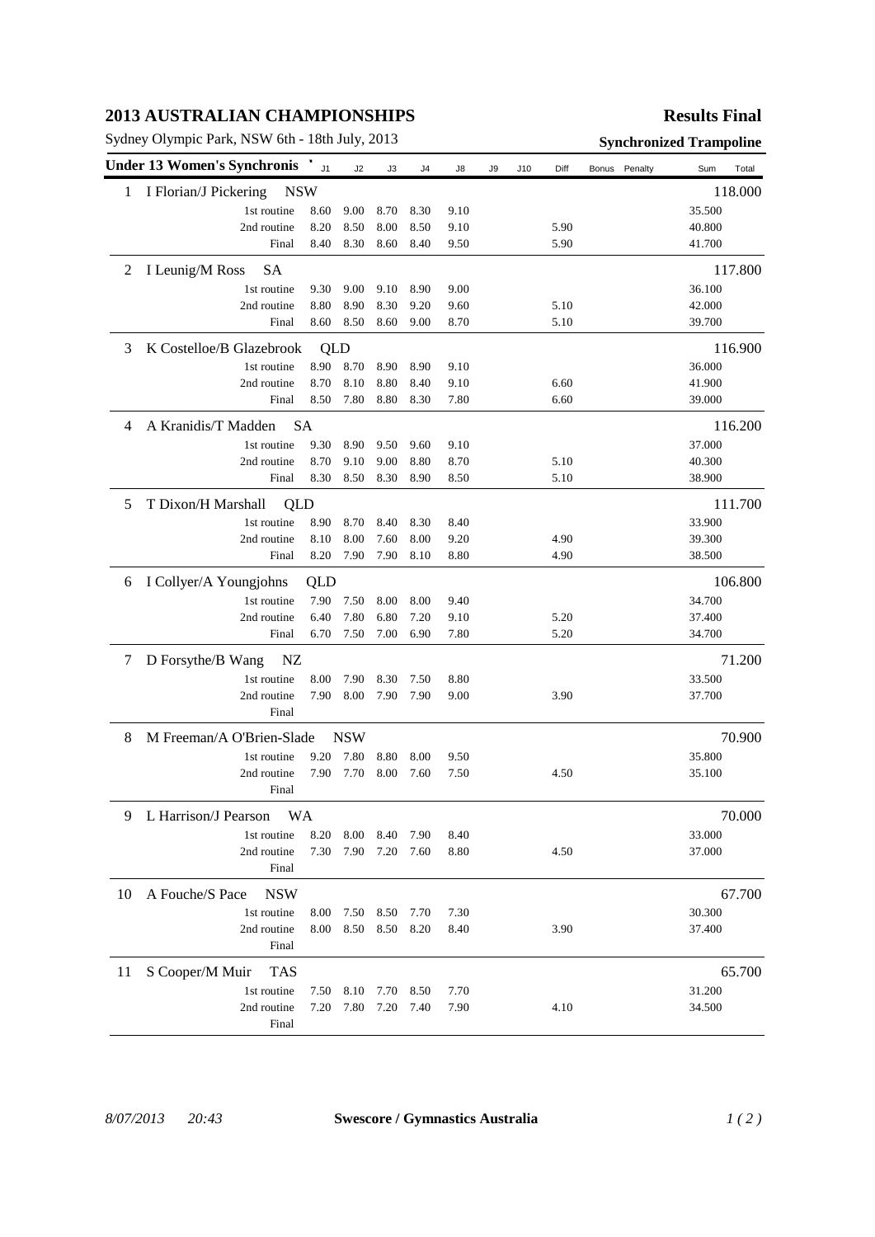# **2013 AUSTRALIAN CHAMPIONSHIPS**

Sydney Olympic Park, NSW 6th - 18th July, 2013 **Synchronized Trampoline**

# **Results Final**

|    | <b>Under 13 Women's Synchronis</b>  | J <sub>1</sub> | J2         | J3   | J4   | J8   | J9 | J10 | Diff   | Bonus<br>Penalty | Sum<br>Total |
|----|-------------------------------------|----------------|------------|------|------|------|----|-----|--------|------------------|--------------|
| 1  | I Florian/J Pickering<br><b>NSW</b> |                |            |      |      |      |    |     |        |                  | 118.000      |
|    | 1st routine                         | 8.60           | 9.00       | 8.70 | 8.30 | 9.10 |    |     |        |                  | 35.500       |
|    | 2nd routine                         | 8.20           | 8.50       | 8.00 | 8.50 | 9.10 |    |     | 5.90   |                  | 40.800       |
|    | Final                               | 8.40           | 8.30       | 8.60 | 8.40 | 9.50 |    |     | 5.90   |                  | 41.700       |
| 2  | I Leunig/M Ross<br><b>SA</b>        |                |            |      |      |      |    |     |        |                  | 117.800      |
|    | 1st routine                         | 9.30           | 9.00       | 9.10 | 8.90 | 9.00 |    |     |        |                  | 36.100       |
|    | 2nd routine                         | 8.80           | 8.90       | 8.30 | 9.20 | 9.60 |    |     | 5.10   |                  | 42.000       |
|    | Final                               | 8.60           | 8.50       | 8.60 | 9.00 | 8.70 |    |     | 5.10   |                  | 39.700       |
| 3  | K Costelloe/B Glazebrook            | QLD            |            |      |      |      |    |     |        |                  | 116.900      |
|    | 1st routine                         | 8.90           | 8.70       | 8.90 | 8.90 | 9.10 |    |     |        |                  | 36.000       |
|    | 2nd routine                         | 8.70           | 8.10       | 8.80 | 8.40 | 9.10 |    |     | 6.60   |                  | 41.900       |
|    | Final                               | 8.50           | 7.80       | 8.80 | 8.30 | 7.80 |    |     | 6.60   |                  | 39.000       |
| 4  | A Kranidis/T Madden                 | <b>SA</b>      |            |      |      |      |    |     |        |                  | 116.200      |
|    | 1st routine                         | 9.30           | 8.90       | 9.50 | 9.60 | 9.10 |    |     |        |                  | 37.000       |
|    | 2nd routine                         | 8.70           | 9.10       | 9.00 | 8.80 | 8.70 |    |     | 5.10   |                  | 40.300       |
|    | Final                               | 8.30           | 8.50       | 8.30 | 8.90 | 8.50 |    |     | 5.10   |                  | 38.900       |
| 5  | T Dixon/H Marshall<br>QLD           |                |            |      |      |      |    |     |        |                  | 111.700      |
|    | 1st routine                         | 8.90           | 8.70       | 8.40 | 8.30 | 8.40 |    |     |        |                  | 33.900       |
|    | 2nd routine                         | 8.10           | 8.00       | 7.60 | 8.00 | 9.20 |    |     | 4.90   |                  | 39.300       |
|    | Final                               | 8.20           | 7.90       | 7.90 | 8.10 | 8.80 |    |     | 4.90   |                  | 38.500       |
| 6  | I Collyer/A Youngjohns              | QLD            |            |      |      |      |    |     |        |                  | 106.800      |
|    | 1st routine                         | 7.90           | 7.50       | 8.00 | 8.00 | 9.40 |    |     |        |                  | 34.700       |
|    | 2nd routine                         | 6.40           | 7.80       | 6.80 | 7.20 | 9.10 |    |     | 5.20   |                  | 37.400       |
|    | Final                               | 6.70           | 7.50       | 7.00 | 6.90 | 7.80 |    |     | 5.20   |                  | 34.700       |
| 7  | D Forsythe/B Wang<br>NZ             |                |            |      |      |      |    |     |        |                  | 71.200       |
|    | 1st routine                         | 8.00           | 7.90       | 8.30 | 7.50 | 8.80 |    |     |        |                  | 33.500       |
|    | 2nd routine                         | 7.90           | 8.00       | 7.90 | 7.90 | 9.00 |    |     | 3.90   |                  | 37.700       |
|    | Final                               |                |            |      |      |      |    |     |        |                  |              |
| 8  | M Freeman/A O'Brien-Slade           |                | <b>NSW</b> |      |      |      |    |     |        |                  | 70.900       |
|    | 1st routine                         | 9.20           | 7.80       | 8.80 | 8.00 | 9.50 |    |     |        |                  | 35.800       |
|    | 2nd routine                         | 7.90           | 7.70       | 8.00 | 7.60 | 7.50 |    |     | 4.50   |                  | 35.100       |
|    | Final                               |                |            |      |      |      |    |     |        |                  |              |
| 9  | L Harrison/J Pearson<br>WA          |                |            |      |      |      |    |     | 70.000 |                  |              |
|    | 1st routine                         | 8.20           | 8.00       | 8.40 | 7.90 | 8.40 |    |     |        |                  | 33.000       |
|    | 2nd routine                         | 7.30           | 7.90       | 7.20 | 7.60 | 8.80 |    |     | 4.50   |                  | 37.000       |
|    | Final                               |                |            |      |      |      |    |     |        |                  |              |
| 10 | A Fouche/S Pace<br><b>NSW</b>       |                |            |      |      |      |    |     |        |                  | 67.700       |
|    | 1st routine                         | 8.00           | 7.50       | 8.50 | 7.70 | 7.30 |    |     |        |                  | 30.300       |
|    | 2nd routine                         | 8.00           | 8.50       | 8.50 | 8.20 | 8.40 |    |     | 3.90   |                  | 37.400       |
|    | Final                               |                |            |      |      |      |    |     |        |                  |              |
| 11 | S Cooper/M Muir<br><b>TAS</b>       |                |            |      |      |      |    |     |        |                  | 65.700       |
|    | 1st routine                         | 7.50           | 8.10       | 7.70 | 8.50 | 7.70 |    |     |        |                  | 31.200       |
|    | 2nd routine                         | 7.20           | 7.80       | 7.20 | 7.40 | 7.90 |    |     | 4.10   |                  | 34.500       |
|    | Final                               |                |            |      |      |      |    |     |        |                  |              |